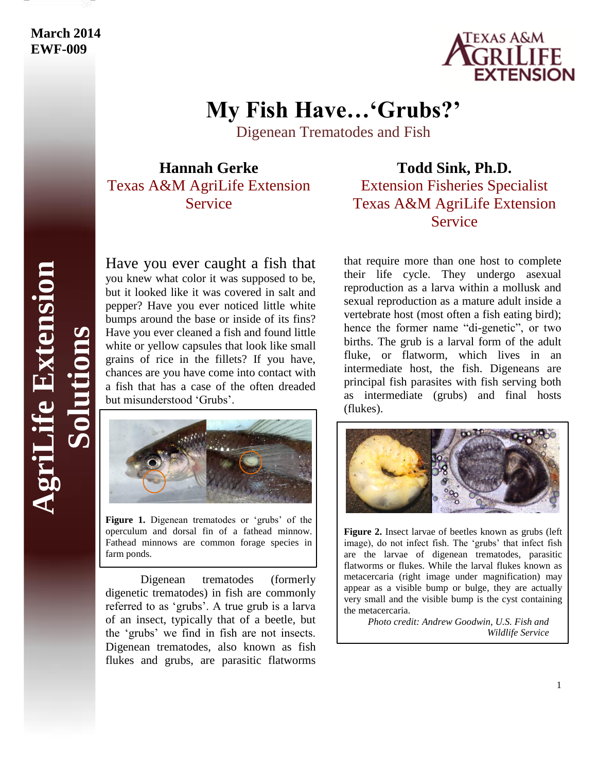# **March 2014 EWF-009**



# **My Fish Have…'Grubs?'**

Digenean Trematodes and Fish

**Hannah Gerke** Texas A&M AgriLife Extension Service

### Have you ever caught a fish that you knew what color it was supposed to be, but it looked like it was covered in salt and pepper? Have you ever noticed little white bumps around the base or inside of its fins? Have you ever cleaned a fish and found little white or yellow capsules that look like small grains of rice in the fillets? If you have, chances are you have come into contact with a fish that has a case of the often dreaded but misunderstood 'Grubs'.



**Figure 1.** Digenean trematodes or 'grubs' of the operculum and dorsal fin of a fathead minnow. Fathead minnows are common forage species in farm ponds.

Digenean trematodes (formerly digenetic trematodes) in fish are commonly referred to as 'grubs'. A true grub is a larva of an insect, typically that of a beetle, but the 'grubs' we find in fish are not insects. Digenean trematodes, also known as fish flukes and grubs, are parasitic flatworms

# **Todd Sink, Ph.D.**

# Extension Fisheries Specialist Texas A&M AgriLife Extension Service

that require more than one host to complete their life cycle. They undergo asexual reproduction as a larva within a mollusk and sexual reproduction as a mature adult inside a vertebrate host (most often a fish eating bird); hence the former name "di-genetic", or two births. The grub is a larval form of the adult fluke, or flatworm, which lives in an intermediate host, the fish. Digeneans are principal fish parasites with fish serving both as intermediate (grubs) and final hosts (flukes).



**Figure 2.** Insect larvae of beetles known as grubs (left image), do not infect fish. The 'grubs' that infect fish are the larvae of digenean trematodes, parasitic flatworms or flukes. While the larval flukes known as metacercaria (right image under magnification) may appear as a visible bump or bulge, they are actually very small and the visible bump is the cyst containing the metacercaria.

*Photo credit: Andrew Goodwin, U.S. Fish and Wildlife Service*

**AgriLife Extension** griLife Extension **Solutions**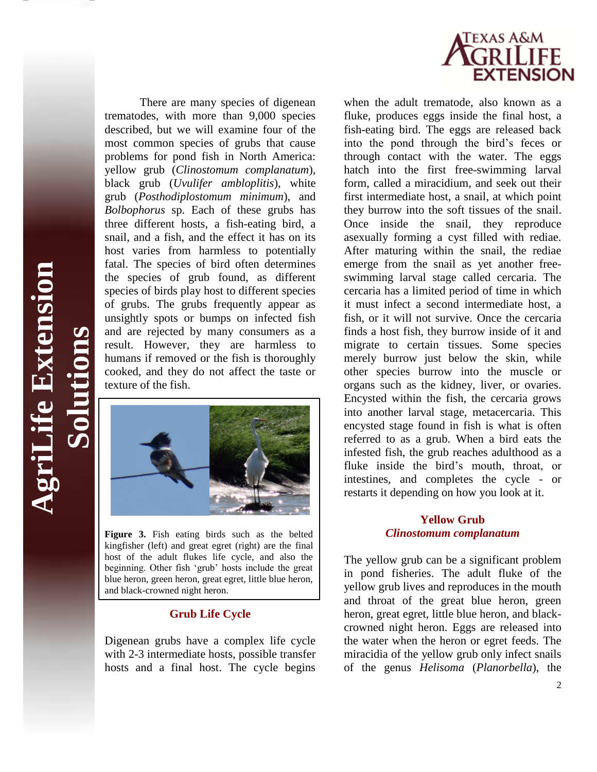

texture of the fish. **AgriLife Extension Solutions**

*Cife Bxtension* 

There are many species of digenean trematodes, with more than 9,000 species described, but we will examine four of the most common species of grubs that cause problems for pond fish in North America: yellow grub (*Clinostomum complanatum*), black grub (*Uvulifer ambloplitis*), white grub (*Posthodiplostomum minimum*), and *Bolbophorus* sp. Each of these grubs has three different hosts, a fish-eating bird, a snail, and a fish, and the effect it has on its host varies from harmless to potentially fatal. The species of bird often determines the species of grub found, as different species of birds play host to different species of grubs. The grubs frequently appear as unsightly spots or bumps on infected fish and are rejected by many consumers as a result. However, they are harmless to humans if removed or the fish is thoroughly cooked, and they do not affect the taste or



**Figure 3.** Fish eating birds such as the belted kingfisher (left) and great egret (right) are the final host of the adult flukes life cycle, and also the beginning. Other fish 'grub' hosts include the great blue heron, green heron, great egret, little blue heron, and black-crowned night heron.

#### **Grub Life Cycle**

Digenean grubs have a complex life cycle with 2-3 intermediate hosts, possible transfer hosts and a final host. The cycle begins

when the adult trematode, also known as a fluke, produces eggs inside the final host, a fish-eating bird. The eggs are released back into the pond through the bird's feces or through contact with the water. The eggs hatch into the first free-swimming larval form, called a miracidium, and seek out their first intermediate host, a snail, at which point they burrow into the soft tissues of the snail. Once inside the snail, they reproduce asexually forming a cyst filled with rediae. After maturing within the snail, the rediae emerge from the snail as yet another freeswimming larval stage called cercaria. The cercaria has a limited period of time in which it must infect a second intermediate host, a fish, or it will not survive. Once the cercaria finds a host fish, they burrow inside of it and migrate to certain tissues. Some species merely burrow just below the skin, while other species burrow into the muscle or organs such as the kidney, liver, or ovaries. Encysted within the fish, the cercaria grows into another larval stage, metacercaria. This encysted stage found in fish is what is often referred to as a grub. When a bird eats the infested fish, the grub reaches adulthood as a fluke inside the bird's mouth, throat, or intestines, and completes the cycle - or restarts it depending on how you look at it.

#### **Yellow Grub**  *Clinostomum complanatum*

The yellow grub can be a significant problem in pond fisheries. The adult fluke of the yellow grub lives and reproduces in the mouth and throat of the great blue heron, green heron, great egret, little blue heron, and blackcrowned night heron. Eggs are released into the water when the heron or egret feeds. The miracidia of the yellow grub only infect snails of the genus *Helisoma* (*Planorbella*), the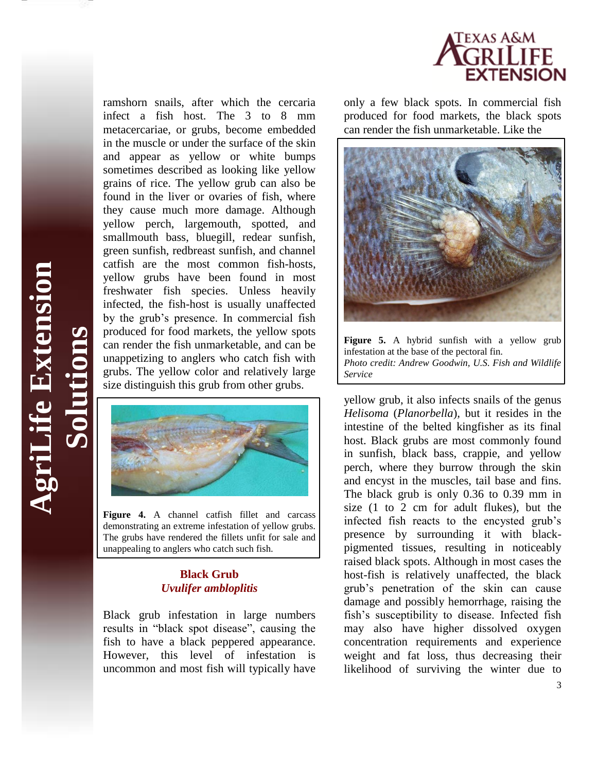

ramshorn snails, after which the cercaria infect a fish host. The 3 to 8 mm metacercariae, or grubs, become embedded in the muscle or under the surface of the skin and appear as yellow or white bumps sometimes described as looking like yellow grains of rice. The yellow grub can also be found in the liver or ovaries of fish, where they cause much more damage. Although yellow perch, largemouth, spotted, and smallmouth bass, bluegill, redear sunfish, green sunfish, redbreast sunfish, and channel catfish are the most common fish-hosts, yellow grubs have been found in most freshwater fish species. Unless heavily infected, the fish-host is usually unaffected by the grub's presence. In commercial fish produced for food markets, the yellow spots can render the fish unmarketable, and can be unappetizing to anglers who catch fish with grubs. The yellow color and relatively large size distinguish this grub from other grubs.



**Figure 4.** A channel catfish fillet and carcass demonstrating an extreme infestation of yellow grubs. The grubs have rendered the fillets unfit for sale and unappealing to anglers who catch such fish.

#### **Black Grub** *Uvulifer ambloplitis*

Black grub infestation in large numbers results in "black spot disease", causing the fish to have a black peppered appearance. However, this level of infestation is uncommon and most fish will typically have

only a few black spots. In commercial fish produced for food markets, the black spots can render the fish unmarketable. Like the



**Figure 5.** A hybrid sunfish with a yellow grub infestation at the base of the pectoral fin. *Photo credit: Andrew Goodwin, U.S. Fish and Wildlife Service*

yellow grub, it also infects snails of the genus *Helisoma* (*Planorbella*)*,* but it resides in the intestine of the belted kingfisher as its final host. Black grubs are most commonly found in sunfish, black bass, crappie, and yellow perch, where they burrow through the skin and encyst in the muscles, tail base and fins. The black grub is only 0.36 to 0.39 mm in size (1 to 2 cm for adult flukes), but the infected fish reacts to the encysted grub's presence by surrounding it with blackpigmented tissues, resulting in noticeably raised black spots. Although in most cases the host-fish is relatively unaffected, the black grub's penetration of the skin can cause damage and possibly hemorrhage, raising the fish's susceptibility to disease. Infected fish may also have higher dissolved oxygen concentration requirements and experience weight and fat loss, thus decreasing their likelihood of surviving the winter due to

**AgriLife Extension AgriLife Extension Solutions**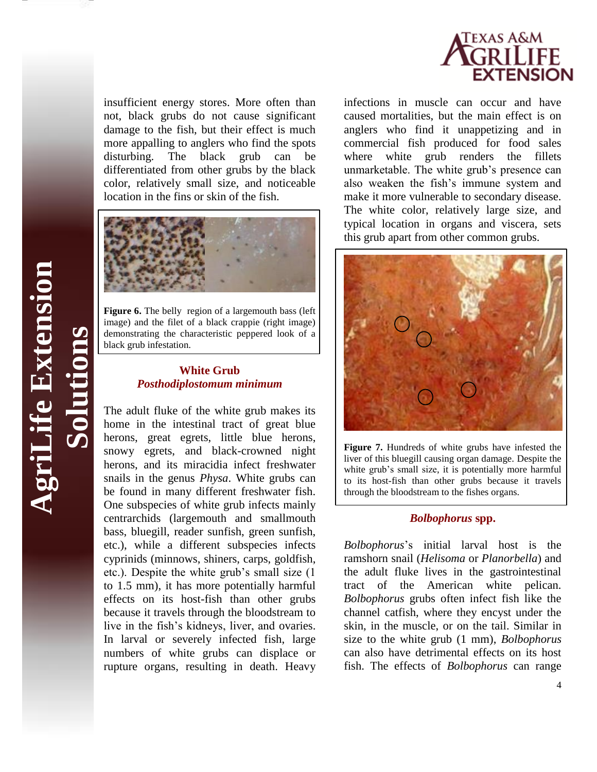

insufficient energy stores. More often than not, black grubs do not cause significant damage to the fish, but their effect is much more appalling to anglers who find the spots disturbing. The black grub can be differentiated from other grubs by the black color, relatively small size, and noticeable location in the fins or skin of the fish.



**Figure 6.** The belly region of a largemouth bass (left) image) and the filet of a black crappie (right image) demonstrating the characteristic peppered look of a black grub infestation.

#### **White Grub** *Posthodiplostomum minimum*

The adult fluke of the white grub makes its home in the intestinal tract of great blue herons, great egrets, little blue herons, snowy egrets, and black-crowned night herons, and its miracidia infect freshwater snails in the genus *Physa*. White grubs can be found in many different freshwater fish. One subspecies of white grub infects mainly centrarchids (largemouth and smallmouth bass, bluegill, reader sunfish, green sunfish, etc.), while a different subspecies infects cyprinids (minnows, shiners, carps, goldfish, etc.). Despite the white grub's small size (1 to 1.5 mm), it has more potentially harmful effects on its host-fish than other grubs because it travels through the bloodstream to live in the fish's kidneys, liver, and ovaries. In larval or severely infected fish, large numbers of white grubs can displace or rupture organs, resulting in death. Heavy

infections in muscle can occur and have caused mortalities, but the main effect is on anglers who find it unappetizing and in commercial fish produced for food sales where white grub renders the fillets unmarketable. The white grub's presence can also weaken the fish's immune system and make it more vulnerable to secondary disease. The white color, relatively large size, and typical location in organs and viscera, sets this grub apart from other common grubs.



**Figure 7.** Hundreds of white grubs have infested the liver of this bluegill causing organ damage. Despite the white grub's small size, it is potentially more harmful to its host-fish than other grubs because it travels through the bloodstream to the fishes organs.

#### *Bolbophorus* **spp.**

*Bolbophorus*'s initial larval host is the ramshorn snail (*Helisoma* or *Planorbella*) and the adult fluke lives in the gastrointestinal tract of the American white pelican. *Bolbophorus* grubs often infect fish like the channel catfish, where they encyst under the skin, in the muscle, or on the tail. Similar in size to the white grub (1 mm), *Bolbophorus* can also have detrimental effects on its host fish. The effects of *Bolbophorus* can range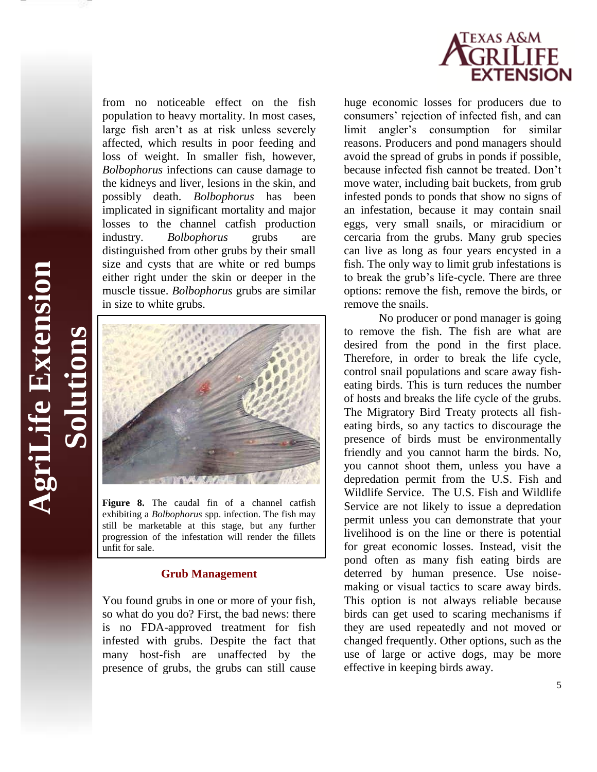

from no noticeable effect on the fish population to heavy mortality. In most cases, large fish aren't as at risk unless severely affected, which results in poor feeding and loss of weight. In smaller fish, however, *Bolbophorus* infections can cause damage to the kidneys and liver, lesions in the skin, and possibly death. *Bolbophorus* has been implicated in significant mortality and major losses to the channel catfish production industry. *Bolbophorus* grubs are distinguished from other grubs by their small size and cysts that are white or red bumps either right under the skin or deeper in the muscle tissue. *Bolbophorus* grubs are similar in size to white grubs.



**AgriLife Extension**

**griLife Extension** 

**Solutions**

**Figure 8.** The caudal fin of a channel catfish exhibiting a *Bolbophorus* spp. infection. The fish may still be marketable at this stage, but any further progression of the infestation will render the fillets unfit for sale.

#### **Grub Management**

You found grubs in one or more of your fish, so what do you do? First, the bad news: there is no FDA-approved treatment for fish infested with grubs. Despite the fact that many host-fish are unaffected by the presence of grubs, the grubs can still cause

huge economic losses for producers due to consumers' rejection of infected fish, and can limit angler's consumption for similar reasons. Producers and pond managers should avoid the spread of grubs in ponds if possible, because infected fish cannot be treated. Don't move water, including bait buckets, from grub infested ponds to ponds that show no signs of an infestation, because it may contain snail eggs, very small snails, or miracidium or cercaria from the grubs. Many grub species can live as long as four years encysted in a fish. The only way to limit grub infestations is to break the grub's life-cycle. There are three options: remove the fish, remove the birds, or remove the snails.

No producer or pond manager is going to remove the fish. The fish are what are desired from the pond in the first place. Therefore, in order to break the life cycle, control snail populations and scare away fisheating birds. This is turn reduces the number of hosts and breaks the life cycle of the grubs. The Migratory Bird Treaty protects all fisheating birds, so any tactics to discourage the presence of birds must be environmentally friendly and you cannot harm the birds. No, you cannot shoot them, unless you have a depredation permit from the U.S. Fish and Wildlife Service. The U.S. Fish and Wildlife Service are not likely to issue a depredation permit unless you can demonstrate that your livelihood is on the line or there is potential for great economic losses. Instead, visit the pond often as many fish eating birds are deterred by human presence. Use noisemaking or visual tactics to scare away birds. This option is not always reliable because birds can get used to scaring mechanisms if they are used repeatedly and not moved or changed frequently. Other options, such as the use of large or active dogs, may be more effective in keeping birds away.

5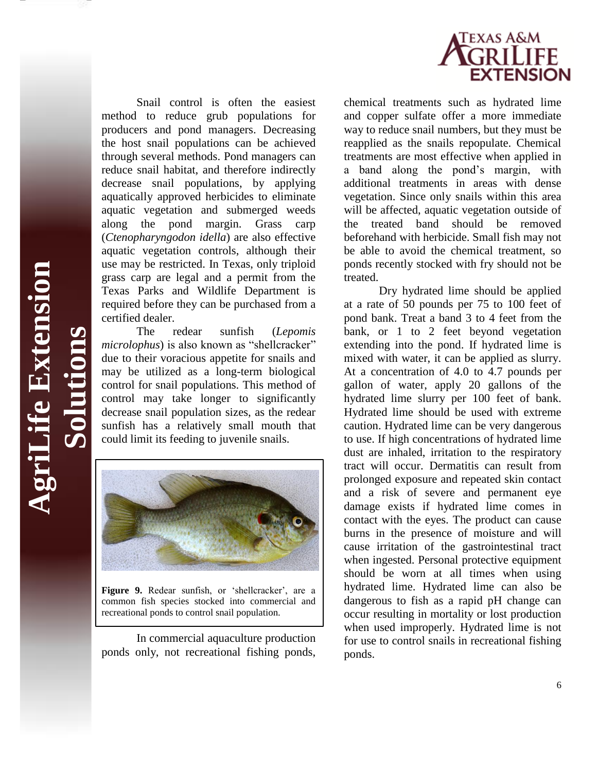

Snail control is often the easiest method to reduce grub populations for producers and pond managers. Decreasing the host snail populations can be achieved through several methods. Pond managers can reduce snail habitat, and therefore indirectly decrease snail populations, by applying aquatically approved herbicides to eliminate aquatic vegetation and submerged weeds along the pond margin. Grass carp (*Ctenopharyngodon idella*) are also effective aquatic vegetation controls, although their use may be restricted. In Texas, only triploid grass carp are legal and a permit from the Texas Parks and Wildlife Department is required before they can be purchased from a certified dealer.

The redear sunfish (*Lepomis microlophus*) is also known as "shellcracker" due to their voracious appetite for snails and may be utilized as a long-term biological control for snail populations. This method of control may take longer to significantly decrease snail population sizes, as the redear sunfish has a relatively small mouth that could limit its feeding to juvenile snails.

**AgriLife Extension**

**AgriLife Extension** 

**Solutions**



**Figure 9.** Redear sunfish, or 'shellcracker', are a common fish species stocked into commercial and recreational ponds to control snail population.

In commercial aquaculture production ponds only, not recreational fishing ponds, chemical treatments such as hydrated lime and copper sulfate offer a more immediate way to reduce snail numbers, but they must be reapplied as the snails repopulate. Chemical treatments are most effective when applied in a band along the pond's margin, with additional treatments in areas with dense vegetation. Since only snails within this area will be affected, aquatic vegetation outside of the treated band should be removed beforehand with herbicide. Small fish may not be able to avoid the chemical treatment, so ponds recently stocked with fry should not be treated.

Dry hydrated lime should be applied at a rate of 50 pounds per 75 to 100 feet of pond bank. Treat a band 3 to 4 feet from the bank, or 1 to 2 feet beyond vegetation extending into the pond. If hydrated lime is mixed with water, it can be applied as slurry. At a concentration of 4.0 to 4.7 pounds per gallon of water, apply 20 gallons of the hydrated lime slurry per 100 feet of bank. Hydrated lime should be used with extreme caution. Hydrated lime can be very dangerous to use. If high concentrations of hydrated lime dust are inhaled, irritation to the respiratory tract will occur. Dermatitis can result from prolonged exposure and repeated skin contact and a risk of severe and permanent eye damage exists if hydrated lime comes in contact with the eyes. The product can cause burns in the presence of moisture and will cause irritation of the gastrointestinal tract when ingested. Personal protective equipment should be worn at all times when using hydrated lime. Hydrated lime can also be dangerous to fish as a rapid pH change can occur resulting in mortality or lost production when used improperly. Hydrated lime is not for use to control snails in recreational fishing ponds.